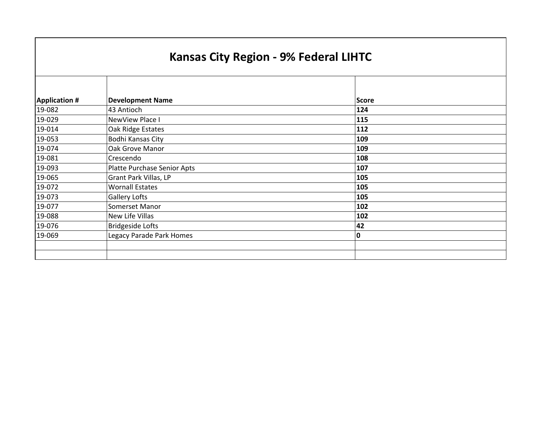## **Kansas City Region ‐ 9% Federal LIHTC**

| <b>Application #</b> | <b>Development Name</b>            | <b>Score</b> |  |
|----------------------|------------------------------------|--------------|--|
| 19-082               | 43 Antioch                         | 124          |  |
| 19-029               | NewView Place I                    | 115          |  |
| 19-014               | Oak Ridge Estates                  | 112          |  |
| 19-053               | Bodhi Kansas City                  | 109          |  |
| 19-074               | Oak Grove Manor                    | 109          |  |
| 19-081               | Crescendo                          | 108          |  |
| 19-093               | <b>Platte Purchase Senior Apts</b> | 107          |  |
| 19-065               | Grant Park Villas, LP              | 105          |  |
| 19-072               | <b>Wornall Estates</b>             | 105          |  |
| 19-073               | <b>Gallery Lofts</b>               | 105          |  |
| 19-077               | Somerset Manor                     | 102          |  |
| 19-088               | New Life Villas                    | 102          |  |
| 19-076               | <b>Bridgeside Lofts</b>            | 42           |  |
| 19-069               | <b>Legacy Parade Park Homes</b>    | 0            |  |
|                      |                                    |              |  |
|                      |                                    |              |  |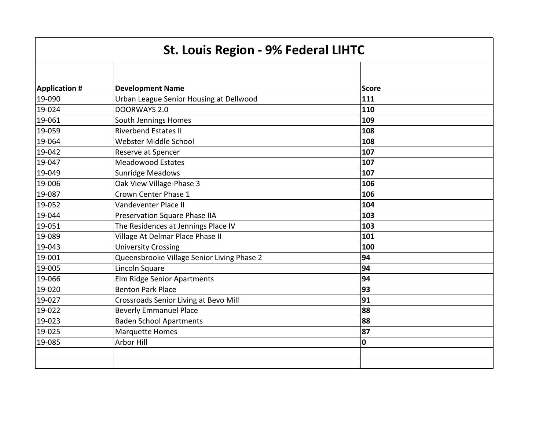| <b>St. Louis Region - 9% Federal LIHTC</b> |                                            |              |  |
|--------------------------------------------|--------------------------------------------|--------------|--|
| <b>Application #</b>                       | <b>Development Name</b>                    | <b>Score</b> |  |
| 19-090                                     | Urban League Senior Housing at Dellwood    | 111          |  |
| 19-024                                     | <b>DOORWAYS 2.0</b>                        | 110          |  |
| 19-061                                     | South Jennings Homes                       | 109          |  |
| 19-059                                     | <b>Riverbend Estates II</b>                | 108          |  |
| 19-064                                     | Webster Middle School                      | 108          |  |
| 19-042                                     | Reserve at Spencer                         | 107          |  |
| 19-047                                     | <b>Meadowood Estates</b>                   | 107          |  |
| 19-049                                     | <b>Sunridge Meadows</b>                    | 107          |  |
| 19-006                                     | Oak View Village-Phase 3                   | 106          |  |
| 19-087                                     | Crown Center Phase 1                       | 106          |  |
| 19-052                                     | Vandeventer Place II                       | 104          |  |
| 19-044                                     | Preservation Square Phase IIA              | 103          |  |
| 19-051                                     | The Residences at Jennings Place IV        | 103          |  |
| 19-089                                     | Village At Delmar Place Phase II           | 101          |  |
| 19-043                                     | <b>University Crossing</b>                 | 100          |  |
| 19-001                                     | Queensbrooke Village Senior Living Phase 2 | 94           |  |
| 19-005                                     | Lincoln Square                             | 94           |  |
| 19-066                                     | Elm Ridge Senior Apartments                | 94           |  |
| 19-020                                     | <b>Benton Park Place</b>                   | 93           |  |
| 19-027                                     | Crossroads Senior Living at Bevo Mill      | 91           |  |
| 19-022                                     | <b>Beverly Emmanuel Place</b>              | 88           |  |
| 19-023                                     | <b>Baden School Apartments</b>             | 88           |  |
| 19-025                                     | <b>Marquette Homes</b>                     | 87           |  |
| 19-085                                     | Arbor Hill                                 | 0            |  |
|                                            |                                            |              |  |
|                                            |                                            |              |  |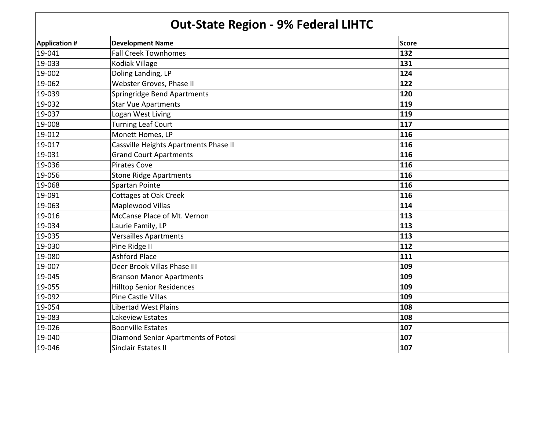## **Out‐State Region ‐ 9% Federal LIHTC**

| <b>Application #</b> | <b>Development Name</b>               | Score |  |
|----------------------|---------------------------------------|-------|--|
| 19-041               | <b>Fall Creek Townhomes</b>           | 132   |  |
| 19-033               | Kodiak Village                        | 131   |  |
| 19-002               | Doling Landing, LP                    | 124   |  |
| 19-062               | Webster Groves, Phase II              | 122   |  |
| 19-039               | Springridge Bend Apartments           | 120   |  |
| 19-032               | <b>Star Vue Apartments</b>            | 119   |  |
| 19-037               | Logan West Living                     | 119   |  |
| 19-008               | <b>Turning Leaf Court</b>             | 117   |  |
| 19-012               | Monett Homes, LP                      | 116   |  |
| 19-017               | Cassville Heights Apartments Phase II | 116   |  |
| 19-031               | <b>Grand Court Apartments</b>         | 116   |  |
| 19-036               | <b>Pirates Cove</b>                   | 116   |  |
| 19-056               | <b>Stone Ridge Apartments</b>         | 116   |  |
| 19-068               | Spartan Pointe                        | 116   |  |
| 19-091               | <b>Cottages at Oak Creek</b>          | 116   |  |
| 19-063               | Maplewood Villas                      | 114   |  |
| 19-016               | McCanse Place of Mt. Vernon           | 113   |  |
| 19-034               | Laurie Family, LP                     | 113   |  |
| 19-035               | <b>Versailles Apartments</b>          | 113   |  |
| 19-030               | Pine Ridge II                         | 112   |  |
| 19-080               | <b>Ashford Place</b>                  | 111   |  |
| 19-007               | Deer Brook Villas Phase III           | 109   |  |
| 19-045               | <b>Branson Manor Apartments</b>       | 109   |  |
| 19-055               | <b>Hilltop Senior Residences</b>      | 109   |  |
| 19-092               | <b>Pine Castle Villas</b>             | 109   |  |
| 19-054               | <b>Libertad West Plains</b>           | 108   |  |
| 19-083               | Lakeview Estates                      | 108   |  |
| 19-026               | <b>Boonville Estates</b>              | 107   |  |
| 19-040               | Diamond Senior Apartments of Potosi   | 107   |  |
| 19-046               | Sinclair Estates II                   | 107   |  |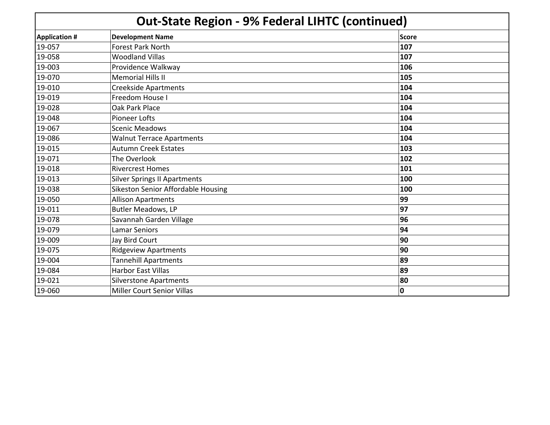| <b>Out-State Region - 9% Federal LIHTC (continued)</b> |  |
|--------------------------------------------------------|--|
|                                                        |  |

| <b>Application #</b> | <b>Development Name</b>             | Score |
|----------------------|-------------------------------------|-------|
| 19-057               | <b>Forest Park North</b>            | 107   |
| 19-058               | <b>Woodland Villas</b>              | 107   |
| 19-003               | Providence Walkway                  | 106   |
| 19-070               | <b>Memorial Hills II</b>            | 105   |
| 19-010               | <b>Creekside Apartments</b>         | 104   |
| 19-019               | Freedom House I                     | 104   |
| 19-028               | Oak Park Place                      | 104   |
| 19-048               | <b>Pioneer Lofts</b>                | 104   |
| 19-067               | <b>Scenic Meadows</b>               | 104   |
| 19-086               | <b>Walnut Terrace Apartments</b>    | 104   |
| 19-015               | <b>Autumn Creek Estates</b>         | 103   |
| 19-071               | The Overlook                        | 102   |
| 19-018               | <b>Rivercrest Homes</b>             | 101   |
| 19-013               | <b>Silver Springs II Apartments</b> | 100   |
| 19-038               | Sikeston Senior Affordable Housing  | 100   |
| 19-050               | <b>Allison Apartments</b>           | 99    |
| 19-011               | Butler Meadows, LP                  | 97    |
| 19-078               | Savannah Garden Village             | 96    |
| 19-079               | <b>Lamar Seniors</b>                | 94    |
| 19-009               | Jay Bird Court                      | 90    |
| 19-075               | <b>Ridgeview Apartments</b>         | 90    |
| 19-004               | <b>Tannehill Apartments</b>         | 89    |
| 19-084               | Harbor East Villas                  | 89    |
| 19-021               | <b>Silverstone Apartments</b>       | 80    |
| 19-060               | <b>Miller Court Senior Villas</b>   | 0     |